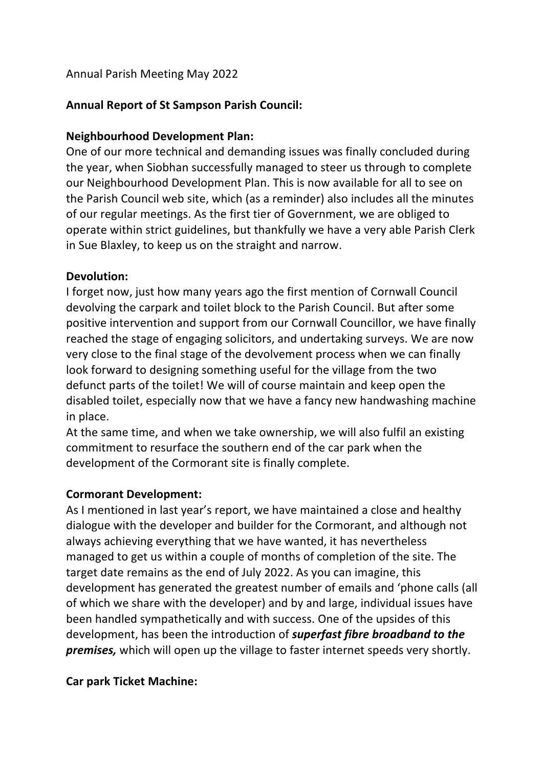### Annual Parish Meeting May 2022

## **Annual Report of St Sampson Parish Council:**

#### **Neighbourhood Development Plan:**

One of our more technical and demanding issues was finally concluded during the year, when Siobhan successfully managed to steer us through to complete our Neighbourhood Development Plan. This is now available for all to see on the Parish Council web site, which (as a reminder) also includes all the minutes of our regular meetings. As the first tier of Government, we are obliged to operate within strict guidelines, but thankfully we have a very able Parish Clerk in Sue Blaxley, to keep us on the straight and narrow.

#### **Devolution:**

I forget now, just how many years ago the first mention of Cornwall Council devolving the carpark and toilet block to the Parish Council. But after some positive intervention and support from our Cornwall Councillor, we have finally reached the stage of engaging solicitors, and undertaking surveys. We are now very close to the final stage of the devolvement process when we can finally look forward to designing something useful for the village from the two defunct parts of the toilet! We will of course maintain and keep open the disabled toilet, especially now that we have a fancy new handwashing machine in place.

At the same time, and when we take ownership, we will also fulfil an existing commitment to resurface the southern end of the car park when the development of the Cormorant site is finally complete.

#### **Cormorant Development:**

As I mentioned in last year's report, we have maintained a close and healthy dialogue with the developer and builder for the Cormorant, and although not always achieving everything that we have wanted, it has nevertheless managed to get us within a couple of months of completion of the site. The target date remains as the end of July 2022. As you can imagine, this development has generated the greatest number of emails and 'phone calls (all of which we share with the developer) and by and large, individual issues have been handled sympathetically and with success. One of the upsides of this development, has been the introduction of *superfast fibre broadband to the premises,* which will open up the village to faster internet speeds very shortly.

#### **Car park Ticket Machine:**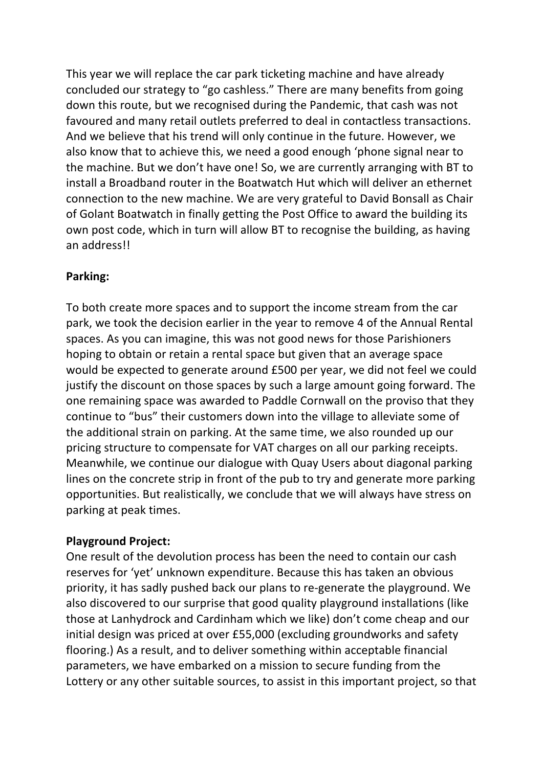This year we will replace the car park ticketing machine and have already concluded our strategy to "go cashless." There are many benefits from going down this route, but we recognised during the Pandemic, that cash was not favoured and many retail outlets preferred to deal in contactless transactions. And we believe that his trend will only continue in the future. However, we also know that to achieve this, we need a good enough 'phone signal near to the machine. But we don't have one! So, we are currently arranging with BT to install a Broadband router in the Boatwatch Hut which will deliver an ethernet connection to the new machine. We are very grateful to David Bonsall as Chair of Golant Boatwatch in finally getting the Post Office to award the building its own post code, which in turn will allow BT to recognise the building, as having an address!!

## **Parking:**

To both create more spaces and to support the income stream from the car park, we took the decision earlier in the year to remove 4 of the Annual Rental spaces. As you can imagine, this was not good news for those Parishioners hoping to obtain or retain a rental space but given that an average space would be expected to generate around £500 per year, we did not feel we could justify the discount on those spaces by such a large amount going forward. The one remaining space was awarded to Paddle Cornwall on the proviso that they continue to "bus" their customers down into the village to alleviate some of the additional strain on parking. At the same time, we also rounded up our pricing structure to compensate for VAT charges on all our parking receipts. Meanwhile, we continue our dialogue with Quay Users about diagonal parking lines on the concrete strip in front of the pub to try and generate more parking opportunities. But realistically, we conclude that we will always have stress on parking at peak times.

# **Playground Project:**

One result of the devolution process has been the need to contain our cash reserves for 'yet' unknown expenditure. Because this has taken an obvious priority, it has sadly pushed back our plans to re-generate the playground. We also discovered to our surprise that good quality playground installations (like those at Lanhydrock and Cardinham which we like) don't come cheap and our initial design was priced at over £55,000 (excluding groundworks and safety flooring.) As a result, and to deliver something within acceptable financial parameters, we have embarked on a mission to secure funding from the Lottery or any other suitable sources, to assist in this important project, so that